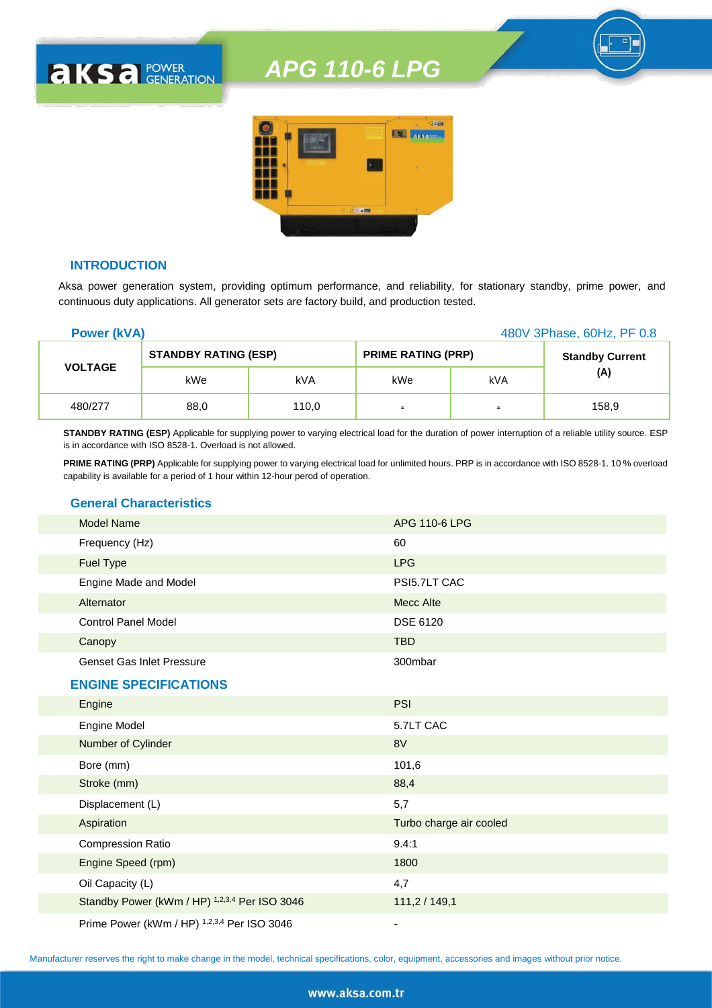

## **INTRODUCTION**

**AKSA POWER** 

Aksa power generation system, providing optimum performance, and reliability, for stationary standby, prime power, and continuous duty applications. All generator sets are factory build, and production tested.

| <b>Power (kVA)</b> |                             |       | 480V 3Phase, 60Hz, PF 0.8 |                |                        |
|--------------------|-----------------------------|-------|---------------------------|----------------|------------------------|
|                    | <b>STANDBY RATING (ESP)</b> |       | <b>PRIME RATING (PRP)</b> |                | <b>Standby Current</b> |
| <b>VOLTAGE</b>     | kWe                         | kVA   | kWe                       | kVA            | (A)                    |
| 480/277            | 88,0                        | 110,0 | $\blacksquare$            | $\blacksquare$ | 158,9                  |

**STANDBY RATING (ESP)** Applicable for supplying power to varying electrical load for the duration of power interruption of a reliable utility source. ESP is in accordance with ISO 8528-1. Overload is not allowed.

**PRIME RATING (PRP)** Applicable for supplying power to varying electrical load for unlimited hours. PRP is in accordance with ISO 8528-1. 10 % overload capability is available for a period of 1 hour within 12-hour perod of operation.

### **General Characteristics**

| <b>Model Name</b>                | APG 110-6 LPG |
|----------------------------------|---------------|
| Frequency (Hz)                   | 60            |
| <b>Fuel Type</b>                 | <b>LPG</b>    |
| Engine Made and Model            | PSI5.7LT CAC  |
| Alternator                       | Mecc Alte     |
| <b>Control Panel Model</b>       | DSE 6120      |
| Canopy                           | <b>TBD</b>    |
| <b>Genset Gas Inlet Pressure</b> | 300mbar       |

#### **ENGINE SPECIFICATIONS**

| Engine                                        | <b>PSI</b>              |
|-----------------------------------------------|-------------------------|
| Engine Model                                  | 5.7LT CAC               |
| Number of Cylinder                            | 8V                      |
| Bore (mm)                                     | 101,6                   |
| Stroke (mm)                                   | 88,4                    |
| Displacement (L)                              | 5,7                     |
| Aspiration                                    | Turbo charge air cooled |
| <b>Compression Ratio</b>                      | 9.4:1                   |
| Engine Speed (rpm)                            | 1800                    |
| Oil Capacity (L)                              | 4,7                     |
| Standby Power (kWm / HP) 1,2,3,4 Per ISO 3046 | 111,2/149,1             |
| Prime Power (kWm / HP) 1,2,3,4 Per ISO 3046   |                         |

Manufacturer reserves the right to make change in the model, technical specifications, color, equipment, accessories and images without prior notice.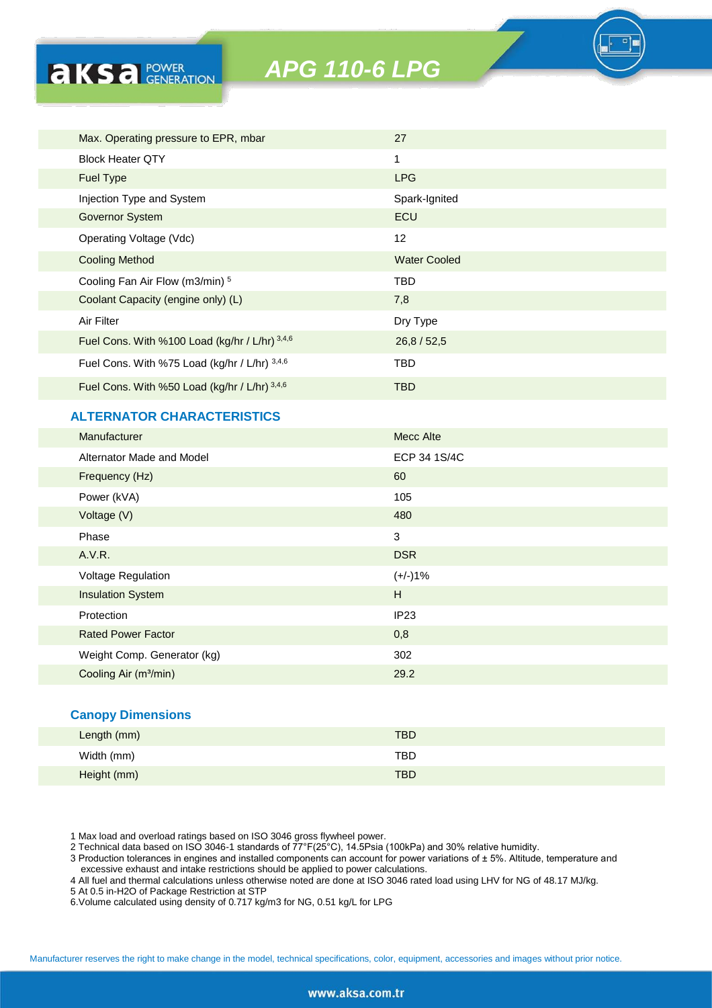| Max. Operating pressure to EPR, mbar           | 27                  |
|------------------------------------------------|---------------------|
| <b>Block Heater OTY</b>                        | 1                   |
| <b>Fuel Type</b>                               | <b>LPG</b>          |
| Injection Type and System                      | Spark-Ignited       |
| <b>Governor System</b>                         | <b>ECU</b>          |
| Operating Voltage (Vdc)                        | 12                  |
| <b>Cooling Method</b>                          | <b>Water Cooled</b> |
| Cooling Fan Air Flow (m3/min) 5                | <b>TBD</b>          |
| Coolant Capacity (engine only) (L)             | 7,8                 |
| Air Filter                                     | Dry Type            |
| Fuel Cons. With %100 Load (kg/hr / L/hr) 3,4,6 | 26,8 / 52,5         |
| Fuel Cons. With %75 Load (kg/hr / L/hr) 3,4,6  | TBD                 |
| Fuel Cons. With %50 Load (kg/hr / L/hr) 3,4,6  | <b>TBD</b>          |
|                                                |                     |

# **ALTERNATOR CHARACTERISTICS**

**AKSA POWER** 

| Manufacturer                      | <b>Mecc Alte</b> |
|-----------------------------------|------------------|
| Alternator Made and Model         | ECP 34 1S/4C     |
| Frequency (Hz)                    | 60               |
| Power (kVA)                       | 105              |
| Voltage (V)                       | 480              |
| Phase                             | 3                |
| A.V.R.                            | <b>DSR</b>       |
| Voltage Regulation                | $(+/-)1%$        |
| <b>Insulation System</b>          | H                |
| Protection                        | IP23             |
| <b>Rated Power Factor</b>         | 0,8              |
| Weight Comp. Generator (kg)       | 302              |
| Cooling Air (m <sup>3</sup> /min) | 29.2             |
|                                   |                  |

#### **Canopy Dimensions**

| Length (mm) | <b>TBD</b> |  |
|-------------|------------|--|
| Width (mm)  | TBD.       |  |
| Height (mm) | <b>TBD</b> |  |

1 Max load and overload ratings based on ISO 3046 gross flywheel power.

2 Technical data based on ISO 3046-1 standards of 77°F(25°C), 14.5Psia (100kPa) and 30% relative humidity.

3 Production tolerances in engines and installed components can account for power variations of ± 5%. Altitude, temperature and excessive exhaust and intake restrictions should be applied to power calculations.

4 All fuel and thermal calculations unless otherwise noted are done at ISO 3046 rated load using LHV for NG of 48.17 MJ/kg.

5 At 0.5 in-H2O of Package Restriction at STP

6.Volume calculated using density of 0.717 kg/m3 for NG, 0.51 kg/L for LPG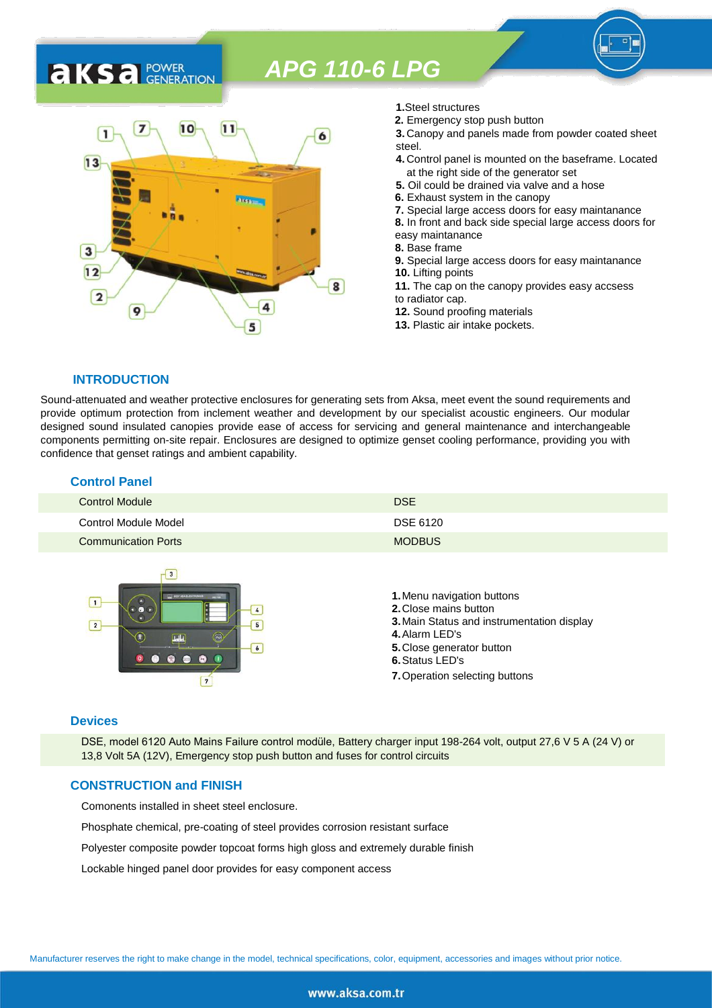

- **1.**Steel structures
- **2.** Emergency stop push button
- **3.** Canopy and panels made from powder coated sheet steel.
- **4.** Control panel is mounted on the baseframe. Located at the right side of the generator set
- **5.** Oil could be drained via valve and a hose
- **6.** Exhaust system in the canopy
- **7.** Special large access doors for easy maintanance
- **8.** In front and back side special large access doors for
- easy maintanance
- **8.** Base frame
- **9.** Special large access doors for easy maintanance **10.** Lifting points **11.** The cap on the canopy provides easy accsess
- to radiator cap.
- **12.** Sound proofing materials
- **13.** Plastic air intake pockets.

#### **INTRODUCTION**

**AKSA** POWER

Sound-attenuated and weather protective enclosures for generating sets from Aksa, meet event the sound requirements and provide optimum protection from inclement weather and development by our specialist acoustic engineers. Our modular designed sound insulated canopies provide ease of access for servicing and general maintenance and interchangeable components permitting on-site repair. Enclosures are designed to optimize genset cooling performance, providing you with confidence that genset ratings and ambient capability.

| <b>Control Panel</b>       |               |
|----------------------------|---------------|
| Control Module             | <b>DSE</b>    |
| Control Module Model       | DSE 6120      |
| <b>Communication Ports</b> | <b>MODBUS</b> |



#### **Devices**

DSE, model 6120 Auto Mains Failure control modüle, Battery charger input 198-264 volt, output 27,6 V 5 A (24 V) or 13,8 Volt 5A (12V), Emergency stop push button and fuses for control circuits

#### **CONSTRUCTION and FINISH**

Comonents installed in sheet steel enclosure.

Phosphate chemical, pre-coating of steel provides corrosion resistant surface

Polyester composite powder topcoat forms high gloss and extremely durable finish

Lockable hinged panel door provides for easy component access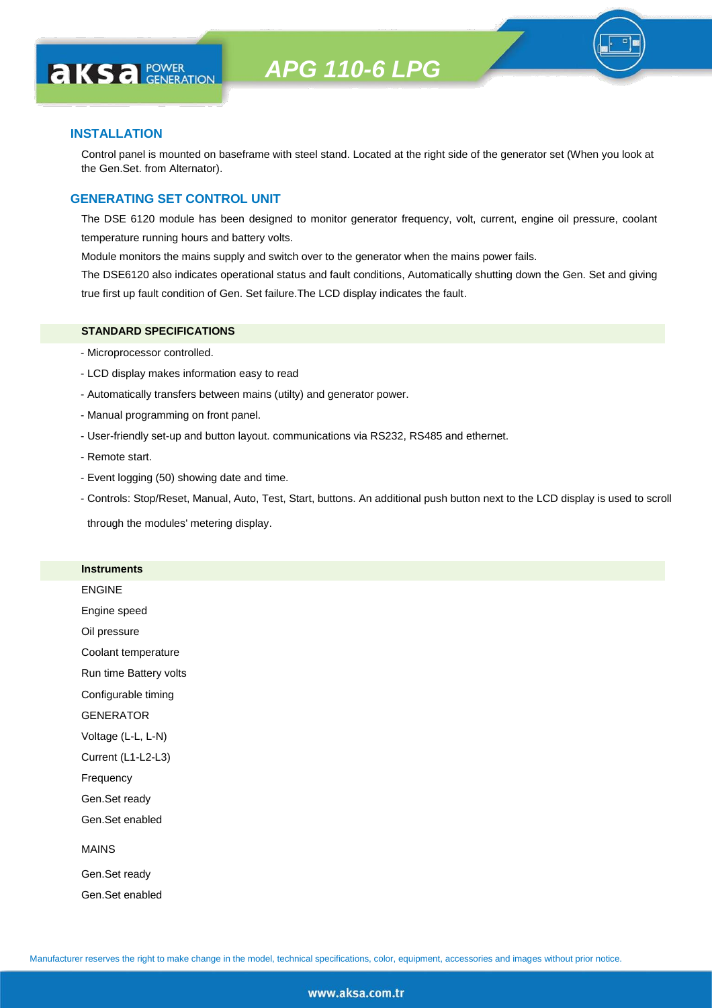

#### **INSTALLATION**

**AKS** *C C <b>C GENERATION* 

Control panel is mounted on baseframe with steel stand. Located at the right side of the generator set (When you look at the Gen.Set. from Alternator).

### **GENERATING SET CONTROL UNIT**

The DSE 6120 module has been designed to monitor generator frequency, volt, current, engine oil pressure, coolant temperature running hours and battery volts.

Module monitors the mains supply and switch over to the generator when the mains power fails.

The DSE6120 also indicates operational status and fault conditions, Automatically shutting down the Gen. Set and giving true first up fault condition of Gen. Set failure.The LCD display indicates the fault.

#### **STANDARD SPECIFICATIONS**

- Microprocessor controlled.
- LCD display makes information easy to read
- Automatically transfers between mains (utilty) and generator power.
- Manual programming on front panel.
- User-friendly set-up and button layout. communications via RS232, RS485 and ethernet.
- Remote start.
- Event logging (50) showing date and time.
- Controls: Stop/Reset, Manual, Auto, Test, Start, buttons. An additional push button next to the LCD display is used to scroll

through the modules' metering display.

#### **Instruments**

ENGINE

Engine speed

Oil pressure

Coolant temperature

Run time Battery volts

Configurable timing

GENERATOR

Voltage (L-L, L-N)

Current (L1-L2-L3)

Frequency

Gen.Set ready

Gen.Set enabled

#### MAINS

Gen.Set ready Gen.Set enabled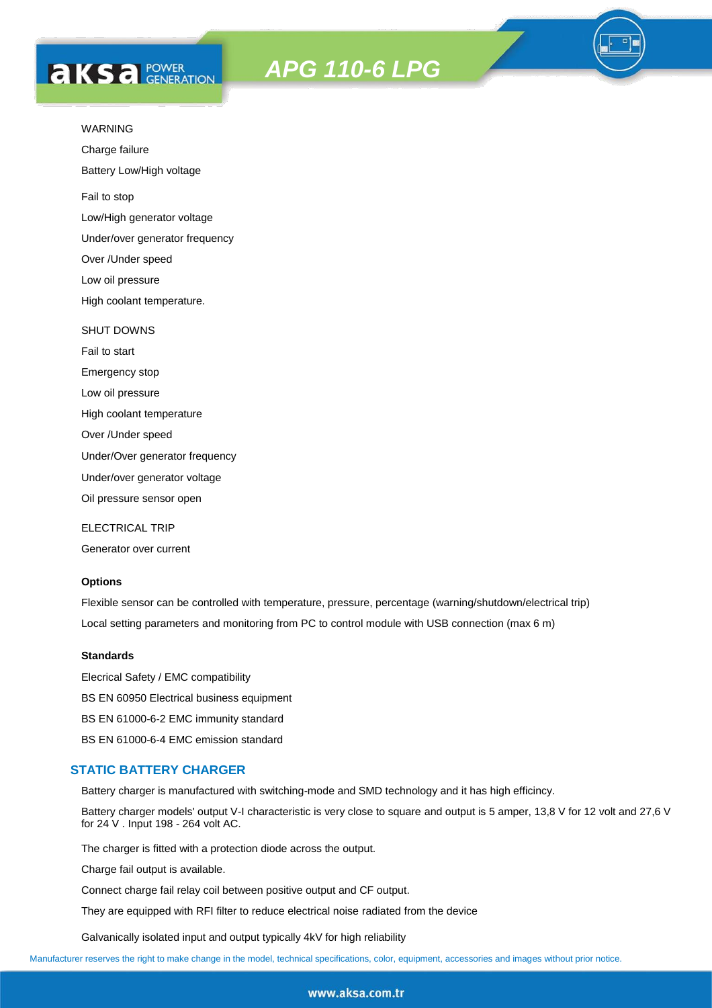# **AKS** *C C <b>C GENERATION*



Charge failure

Battery Low/High voltage

Fail to stop

Low/High generator voltage

Under/over generator frequency

Over /Under speed

Low oil pressure

High coolant temperature.

#### SHUT DOWNS

Fail to start Emergency stop Low oil pressure High coolant temperature Over /Under speed

Under/Over generator frequency

Under/over generator voltage

Oil pressure sensor open

ELECTRICAL TRIP

Generator over current

### **Options**

Flexible sensor can be controlled with temperature, pressure, percentage (warning/shutdown/electrical trip) Local setting parameters and monitoring from PC to control module with USB connection (max 6 m)

#### **Standards**

Elecrical Safety / EMC compatibility BS EN 60950 Electrical business equipment BS EN 61000-6-2 EMC immunity standard BS EN 61000-6-4 EMC emission standard

#### **STATIC BATTERY CHARGER**

Battery charger is manufactured with switching-mode and SMD technology and it has high efficincy.

Battery charger models' output V-I characteristic is very close to square and output is 5 amper, 13,8 V for 12 volt and 27,6 V for 24 V . Input 198 - 264 volt AC.

The charger is fitted with a protection diode across the output.

Charge fail output is available.

Connect charge fail relay coil between positive output and CF output.

They are equipped with RFI filter to reduce electrical noise radiated from the device

Galvanically isolated input and output typically 4kV for high reliability

Manufacturer reserves the right to make change in the model, technical specifications, color, equipment, accessories and images without prior notice.